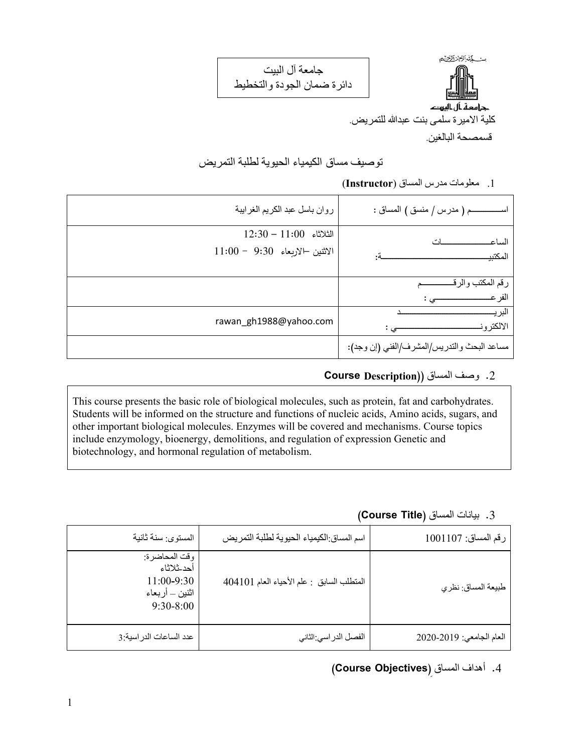مسكة الأضالات جرامعة ـأل ـاليرتد كلية الاميرة سلمى بنت عبدالله للتمريض.

جامعة آل البيت دائرة ضمان الجودة والتخطيط

قسمصحة البالغين.

توصيف مساق الكيمياء الحيوية لطلبة التمريض

.1 معلومات مدرس المساق (**Instructor**(

| روان باسل عبد الكريم الغرابيبة                              | اســــــــــــــم ( مدرس / منسق ) المساق :  |
|-------------------------------------------------------------|---------------------------------------------|
| $12:30 - 11:00$ الثلاثاء<br>$11:00 - 9:30$ الاثنين الاربعاء | الساع<br>المكتبي                            |
|                                                             | رقم المكتب والرق<br>الفر عـ                 |
| rawan_gh1988@yahoo.com                                      | لىر ب<br>الالكتر و ذ                        |
|                                                             | مساعد البحث والتدريس/المشرف/الفني (إن وجد): |

#### .2 وصف المساق ((**Description Course**

This course presents the basic role of biological molecules, such as protein, fat and carbohydrates. Students will be informed on the structure and functions of nucleic acids, Amino acids, sugars, and other important biological molecules. Enzymes will be covered and mechanisms. Course topics include enzymology, bioenergy, demolitions, and regulation of expression Genetic and biotechnology, and hormonal regulation of metabolism.

#### .3 بيانات المساق (**Title Course**(

| رقم المساق: 1001107      | اسم المساق الكيمياء الحيوية لطلبة التمريض | المستوى: سنة ثانية                                                           |
|--------------------------|-------------------------------------------|------------------------------------------------------------------------------|
| طبيعة المساق: نظري       | المتطلب السابق : علم الأحياء العام 404101 | وقت المحاضرة:<br>أحد ثلاثاء<br>$11:00-9:30$<br>اثنين _ أربعاء<br>$9:30-8:00$ |
| العام الجامعي: 2020-2020 | الفصل الدراسي:الثاني                      | عدد الساعات الدر اسية:3                                                      |

# .4 أهداف المساق ِ(**Objectives Course**(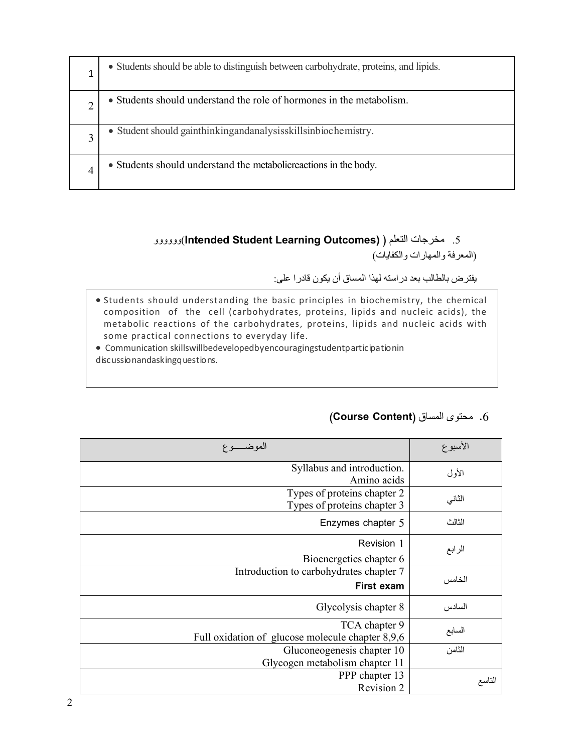| • Students should be able to distinguish between carbohydrate, proteins, and lipids. |
|--------------------------------------------------------------------------------------|
| • Students should understand the role of hormones in the metabolism.                 |
| • Student should gainthinking and analysis skills in biochemistry.                   |
| • Students should understand the metabolic reactions in the body.                    |

#### وووووو)**Intended Student Learning Outcomes)** ) التعلم مخرجات .5 (المعرفة والمهارات والكفايات)

يفترض بالطالب بعد دراسته لهذا المساق أن يكون قادرا على:

 Students should understanding the basic principles in biochemistry, the chemical composition of the cell (carbohydrates, proteins, lipids and nucleic acids), the metabolic reactions of the carbohydrates, proteins, lipids and nucleic acids with some practical connections to everyday life.

 Communication skillswillbedevelopedbyencouragingstudentparticipationin discussionandaskingquestions.

| الموضـــــوع                                                      | الأسبوع |
|-------------------------------------------------------------------|---------|
| Syllabus and introduction.<br>Amino acids                         | الأول   |
| Types of proteins chapter 2<br>Types of proteins chapter 3        | الثاني  |
| Enzymes chapter 5                                                 | الثالث  |
| Revision 1<br>Bioenergetics chapter 6                             | الرابع  |
| Introduction to carbohydrates chapter 7<br>First exam             | الخامس  |
| Glycolysis chapter 8                                              | السادس  |
| TCA chapter 9<br>Full oxidation of glucose molecule chapter 8,9,6 | السابع  |
| Gluconeogenesis chapter 10<br>Glycogen metabolism chapter 11      | الثامن  |
| PPP chapter 13<br>Revision 2                                      | التاسع  |

#### .6 محتوى المساق (**Content Course**(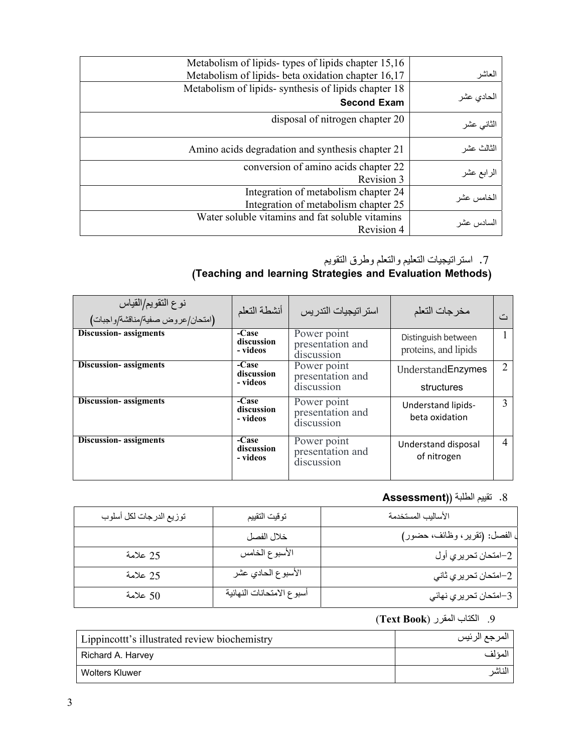| Metabolism of lipids-types of lipids chapter 15,16<br>Metabolism of lipids- beta oxidation chapter 16,17 | العاشر     |
|----------------------------------------------------------------------------------------------------------|------------|
| Metabolism of lipids-synthesis of lipids chapter 18<br><b>Second Exam</b>                                | الحادى عشر |
| disposal of nitrogen chapter 20                                                                          | الثانى عشر |
| Amino acids degradation and synthesis chapter 21                                                         | الثالث عشر |
| conversion of amino acids chapter 22<br>Revision 3                                                       | الرابع عشر |
| Integration of metabolism chapter 24<br>Integration of metabolism chapter 25                             | الخامس عشر |
| Water soluble vitamins and fat soluble vitamins<br>Revision 4                                            | لسادس عشر  |

## .7 استراتيجيات التعليم والتعلم وطرق التقويم

## **(Teaching and learning Strategies and Evaluation Methods)**

| نوع التقويم/القياس<br>(امتحان/عروض صفية/مناقشة/واجبات) | أنشطة التعلم                    | استر اتيجيات التدر بس                         | مخرجات التعلم                               | د مع |
|--------------------------------------------------------|---------------------------------|-----------------------------------------------|---------------------------------------------|------|
| <b>Discussion-</b> assigments                          | -Case<br>discussion<br>- videos | Power point<br>presentation and<br>discussion | Distinguish between<br>proteins, and lipids |      |
| <b>Discussion-</b> assigments                          | -Case<br>discussion             | Power point<br>presentation and               | UnderstandEnzymes                           | 2    |
|                                                        | - videos                        | discussion                                    | structures                                  |      |
| <b>Discussion-</b> assigments                          | -Case<br>discussion<br>- videos | Power point<br>presentation and<br>discussion | <b>Understand lipids-</b><br>beta oxidation | 3    |
| <b>Discussion-</b> assigments                          | -Case<br>discussion<br>- videos | Power point<br>presentation and<br>discussion | Understand disposal<br>of nitrogen          | 4    |

# .8 تقييم الطلبة (**(Assessment**

| توزيع الدرجات لكل أسلوب | توقيت التقييم             | الأساليب المستخدمة          |
|-------------------------|---------------------------|-----------------------------|
|                         | خلال الفصل                | الفصل: (تقرير، وظائف، حضور) |
| 25 علامة                | الأسبوع الخامس            | 2–امتحان تحريري أول         |
| 25 علامة                | الأسبوع الحادي عشر        | 2–امنحان تحريري ثاني        |
| 50 علامة                | أسبوع الامتحانات النهائية | 3–امتحان تحريري نهائي       |

## .9 الكتاب المقرر ( **Book Text**(

| Lippincottt's illustrated review biochemistry | المرجع الرئيس |
|-----------------------------------------------|---------------|
| Richard A. Harvey                             | المئ لف       |
| Wolters Kluwer                                | لناشر         |